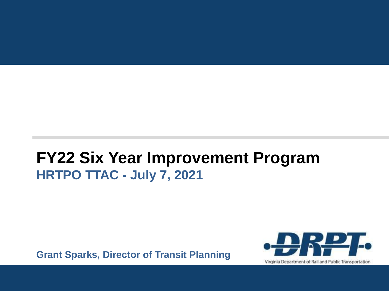### **FY22 Six Year Improvement Program HRTPO TTAC - July 7, 2021**

**Grant Sparks, Director of Transit Planning**

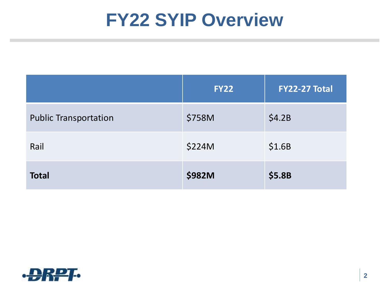### **FY22 SYIP Overview**

|                              | <b>FY22</b>   | <b>FY22-27 Total</b> |
|------------------------------|---------------|----------------------|
| <b>Public Transportation</b> | \$758M        | \$4.2B               |
| Rail                         | \$224M        | \$1.6B               |
| <b>Total</b>                 | <b>\$982M</b> | \$5.8B               |

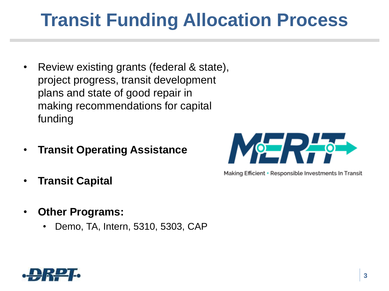## **Transit Funding Allocation Process**

- Review existing grants (federal & state), project progress, transit development plans and state of good repair in making recommendations for capital funding
- **Transit Operating Assistance**
- **Transit Capital**
- **Other Programs:**
	- Demo, TA, Intern, 5310, 5303, CAP



Making Efficient + Responsible Investments In Transit

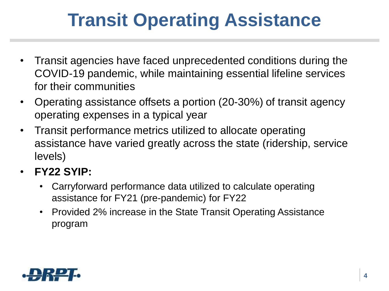# **Transit Operating Assistance**

- Transit agencies have faced unprecedented conditions during the COVID-19 pandemic, while maintaining essential lifeline services for their communities
- Operating assistance offsets a portion (20-30%) of transit agency operating expenses in a typical year
- Transit performance metrics utilized to allocate operating assistance have varied greatly across the state (ridership, service levels)
- **FY22 SYIP:**
	- Carryforward performance data utilized to calculate operating assistance for FY21 (pre-pandemic) for FY22
	- Provided 2% increase in the State Transit Operating Assistance program

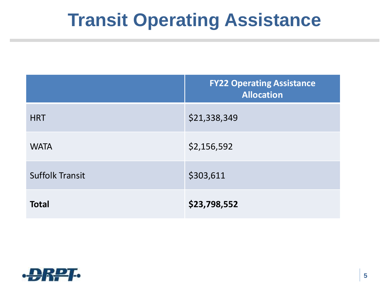## **Transit Operating Assistance**

|                        | <b>FY22 Operating Assistance</b><br><b>Allocation</b> |
|------------------------|-------------------------------------------------------|
| <b>HRT</b>             | \$21,338,349                                          |
| <b>WATA</b>            | \$2,156,592                                           |
| <b>Suffolk Transit</b> | \$303,611                                             |
| <b>Total</b>           | \$23,798,552                                          |

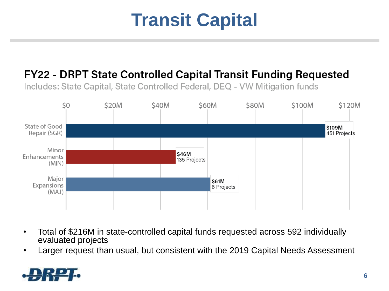## **Transit Capital**

#### FY22 - DRPT State Controlled Capital Transit Funding Requested

Includes: State Capital, State Controlled Federal, DEQ - VW Mitigation funds



- Total of \$216M in state-controlled capital funds requested across 592 individually evaluated projects
- Larger request than usual, but consistent with the 2019 Capital Needs Assessment

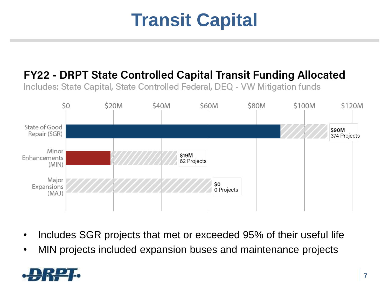## **Transit Capital**

#### FY22 - DRPT State Controlled Capital Transit Funding Allocated

Includes: State Capital, State Controlled Federal, DEQ - VW Mitigation funds



- Includes SGR projects that met or exceeded 95% of their useful life
- MIN projects included expansion buses and maintenance projects

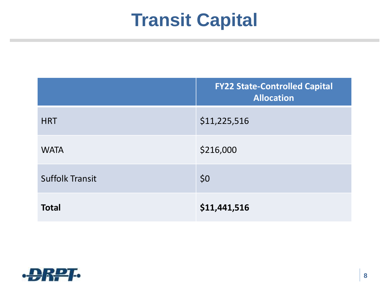## **Transit Capital**

|                        | <b>FY22 State-Controlled Capital</b><br><b>Allocation</b> |
|------------------------|-----------------------------------------------------------|
| <b>HRT</b>             | \$11,225,516                                              |
| <b>WATA</b>            | \$216,000                                                 |
| <b>Suffolk Transit</b> | \$0                                                       |
| <b>Total</b>           | \$11,441,516                                              |